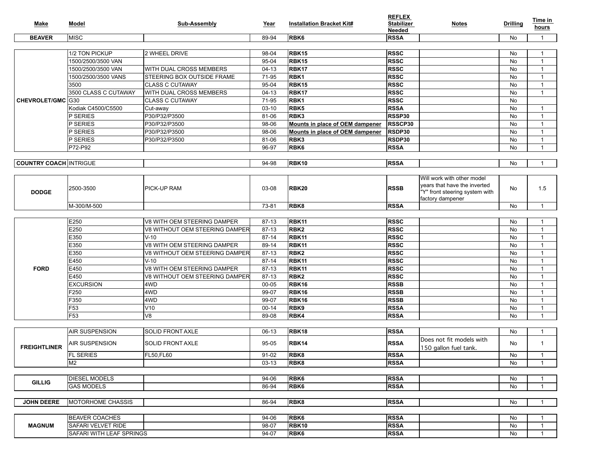| Make                          | Model                     | Sub-Assembly                      | Year      | <b>Installation Bracket Kit#</b> | <b>REFLEX</b><br><b>Stabilizer</b><br>Needed | <b>Notes</b>                                                                                                     | <b>Drilling</b> | Time in<br>hours |
|-------------------------------|---------------------------|-----------------------------------|-----------|----------------------------------|----------------------------------------------|------------------------------------------------------------------------------------------------------------------|-----------------|------------------|
| <b>BEAVER</b>                 | MISC                      |                                   | 89-94     | <b>RBK6</b>                      | <b>RSSA</b>                                  |                                                                                                                  | No              | -1               |
|                               |                           |                                   |           |                                  |                                              |                                                                                                                  |                 |                  |
| CHEVROLET/GMC G30             | 1/2 TON PICKUP            | 2 WHEEL DRIVE                     | 98-04     | RBK15                            | <b>RSSC</b>                                  |                                                                                                                  | No              | -1               |
|                               | 1500/2500/3500 VAN        |                                   | 95-04     | RBK15                            | <b>RSSC</b>                                  |                                                                                                                  | No              | -1               |
|                               | 1500/2500/3500 VAN        | <b>WITH DUAL CROSS MEMBERS</b>    | $04-13$   | RBK <sub>17</sub>                | <b>RSSC</b>                                  |                                                                                                                  | No              | $\overline{1}$   |
|                               | 1500/2500/3500 VANS       | <b>STEERING BOX OUTSIDE FRAME</b> | 71-95     | <b>RBK1</b>                      | <b>RSSC</b>                                  |                                                                                                                  | No              | $\overline{1}$   |
|                               | 3500                      | <b>CLASS C CUTAWAY</b>            | 95-04     | RBK15                            | <b>RSSC</b>                                  |                                                                                                                  | No              | -1               |
|                               | 3500 CLASS C CUTAWAY      | WITH DUAL CROSS MEMBERS           | $04-13$   | RBK17                            | <b>RSSC</b>                                  |                                                                                                                  | No              | -1               |
|                               |                           | <b>CLASS C CUTAWAY</b>            | 71-95     | <b>RBK1</b>                      | <b>RSSC</b>                                  |                                                                                                                  | No              |                  |
|                               | Kodiak C4500/C5500        | Cut-away                          | 03-10     | <b>RBK5</b>                      | <b>RSSA</b>                                  |                                                                                                                  | No              | -1               |
|                               | P SERIES                  | P30/P32/P3500                     | 81-06     | RBK3                             | RSSP30                                       |                                                                                                                  | No              | $\overline{1}$   |
|                               | P SERIES                  | P30/P32/P3500                     | 98-06     | Mounts in place of OEM dampener  | <b>RSSCP30</b>                               |                                                                                                                  | No              | -1               |
|                               | P SERIES                  | P30/P32/P3500                     | 98-06     | Mounts in place of OEM dampener  | RSDP30                                       |                                                                                                                  | No              | -1               |
|                               | P SERIES                  | P30/P32/P3500                     | 81-06     | RBK3                             | RSDP30                                       |                                                                                                                  | No              | $\overline{1}$   |
|                               | P72-P92                   |                                   | 96-97     | <b>RBK6</b>                      | <b>RSSA</b>                                  |                                                                                                                  | No              | -1               |
|                               |                           |                                   |           |                                  |                                              |                                                                                                                  |                 |                  |
| <b>COUNTRY COACH INTRIGUE</b> |                           |                                   | 94-98     | RBK10                            | <b>RSSA</b>                                  |                                                                                                                  | No              | -1               |
|                               |                           |                                   |           |                                  |                                              |                                                                                                                  |                 |                  |
| <b>DODGE</b>                  | 2500-3500                 | PICK-UP RAM                       | 03-08     | <b>RBK20</b>                     | <b>RSSB</b>                                  | Will work with other model<br>years that have the inverted<br>"Y" front steering system with<br>factory dampener | No              | 1.5              |
|                               | M-300/M-500               |                                   | 73-81     | <b>RBK8</b>                      | <b>RSSA</b>                                  |                                                                                                                  | No              | $\overline{1}$   |
|                               |                           |                                   |           |                                  |                                              |                                                                                                                  |                 |                  |
|                               | E250                      | V8 WITH OEM STEERING DAMPER       | 87-13     | RBK11                            | <b>RSSC</b>                                  |                                                                                                                  | No              | -1               |
|                               | E250                      | V8 WITHOUT OEM STEERING DAMPER    | 87-13     | RBK <sub>2</sub>                 | <b>RSSC</b>                                  |                                                                                                                  | No              | $\overline{1}$   |
|                               | E350                      | IV-10                             | 87-14     | RBK11                            | <b>RSSC</b>                                  |                                                                                                                  | No              | $\overline{1}$   |
|                               | E350                      | V8 WITH OEM STEERING DAMPER       | 89-14     | RBK11                            | <b>RSSC</b>                                  |                                                                                                                  | No              | $\overline{1}$   |
|                               | E350                      | V8 WITHOUT OEM STEERING DAMPER    | 87-13     | <b>RBK2</b>                      | <b>RSSC</b>                                  |                                                                                                                  | No              | -1               |
|                               | E450                      | $V-10$                            | 87-14     | RBK11                            | <b>RSSC</b>                                  |                                                                                                                  | No              | $\overline{1}$   |
| <b>FORD</b>                   | E450                      | V8 WITH OEM STEERING DAMPER       | 87-13     | RBK11                            | <b>RSSC</b>                                  |                                                                                                                  | No              | -1               |
|                               | E450                      | V8 WITHOUT OEM STEERING DAMPER    | 87-13     | <b>RBK2</b>                      | <b>RSSC</b>                                  |                                                                                                                  | No              | -1               |
|                               | <b>EXCURSION</b>          | 4WD                               | $00 - 05$ | RBK16                            | <b>RSSB</b>                                  |                                                                                                                  | No              | -1               |
|                               | F250                      | 4WD                               | 99-07     | RBK16                            | <b>RSSB</b>                                  |                                                                                                                  | No              | -1               |
|                               | F350                      | 4WD                               | 99-07     | RBK16                            | <b>RSSB</b>                                  |                                                                                                                  | No              | $\overline{1}$   |
|                               | $\overline{F53}$          | V <sub>10</sub>                   | $00 - 14$ | <b>RBK9</b>                      | <b>RSSA</b>                                  |                                                                                                                  | No              | -1               |
|                               | F53                       | lv8                               | 89-08     | RBK4                             | <b>RSSA</b>                                  |                                                                                                                  | No              | -1               |
|                               |                           |                                   |           |                                  |                                              |                                                                                                                  |                 |                  |
| <b>FREIGHTLINER</b>           | <b>AIR SUSPENSION</b>     | <b>SOLID FRONT AXLE</b>           | 06-13     | RBK <sub>18</sub>                | <b>RSSA</b>                                  |                                                                                                                  | No              | -1               |
|                               | <b>AIR SUSPENSION</b>     | <b>SOLID FRONT AXLE</b>           | 95-05     | <b>RBK14</b>                     | <b>RSSA</b>                                  | Does not fit models with<br>150 gallon fuel tank.                                                                | No              | $\mathbf{1}$     |
|                               | <b>FL SERIES</b>          | FL50,FL60                         | $91 - 02$ | <b>RBK8</b>                      | <b>RSSA</b>                                  |                                                                                                                  | No              | -1               |
|                               | M <sub>2</sub>            |                                   | $03-13$   | RBK8                             | <b>RSSA</b>                                  |                                                                                                                  | No              | -1               |
|                               |                           |                                   |           |                                  |                                              |                                                                                                                  |                 |                  |
| <b>GILLIG</b>                 | <b>DIESEL MODELS</b>      |                                   | 94-06     | <b>RBK6</b>                      | <b>RSSA</b>                                  |                                                                                                                  | No              | -1               |
|                               | <b>GAS MODELS</b>         |                                   | 86-94     | <b>RBK6</b>                      | <b>RSSA</b>                                  |                                                                                                                  | No              | -1               |
|                               |                           |                                   |           |                                  |                                              |                                                                                                                  |                 |                  |
| <b>JOHN DEERE</b>             | <b>IMOTORHOME CHASSIS</b> |                                   | 86-94     | RBK8                             | <b>RSSA</b>                                  |                                                                                                                  | No              | -1               |
|                               |                           |                                   |           |                                  |                                              |                                                                                                                  |                 |                  |
| <b>MAGNUM</b>                 | <b>BEAVER COACHES</b>     |                                   | 94-06     | <b>RBK6</b>                      | <b>RSSA</b>                                  |                                                                                                                  | No              |                  |
|                               | SAFARI VELVET RIDE        |                                   | 98-07     | RBK10                            | <b>RSSA</b>                                  |                                                                                                                  | No              | -1               |
|                               | SAFARI WITH LEAF SPRINGS  |                                   | 94-07     | <b>RBK6</b>                      | <b>RSSA</b>                                  |                                                                                                                  | No              | $\overline{1}$   |

**REFLEX**